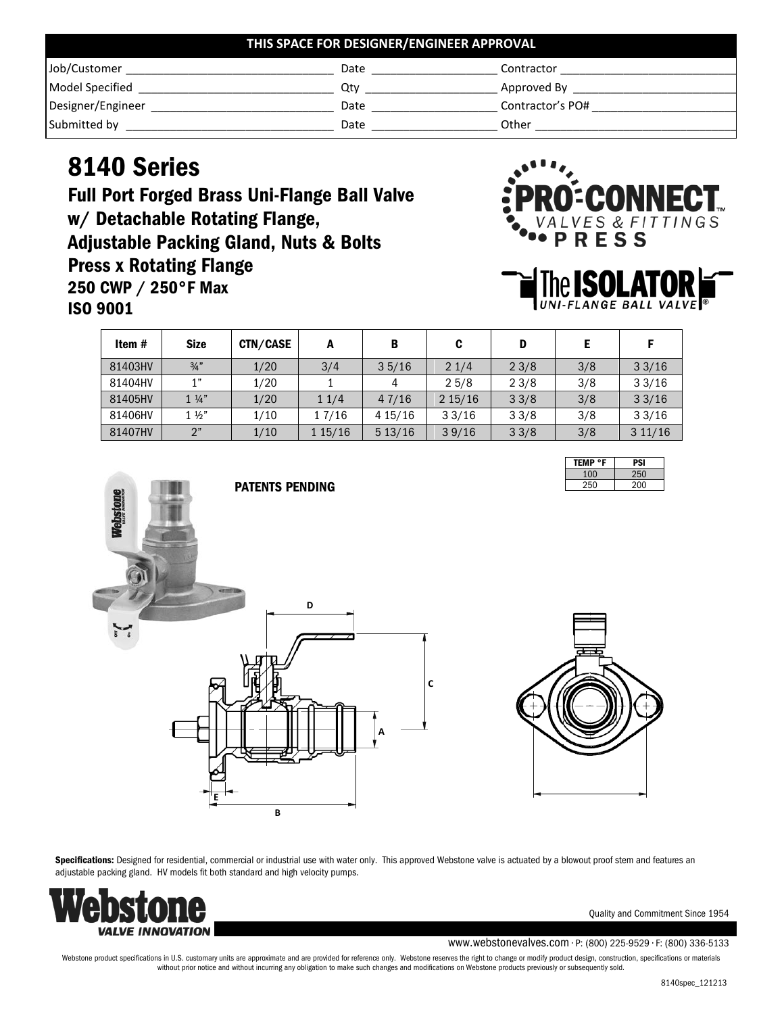| THIS SPACE FOR DESIGNER/ENGINEER APPROVAL |      |                  |  |
|-------------------------------------------|------|------------------|--|
| Job/Customer                              | Date | Contractor       |  |
| <b>Model Specified</b>                    | Otv  | Approved By      |  |
| Designer/Engineer                         | Date | Contractor's PO# |  |
| Submitted by                              | Date | Other            |  |

## 8140 Series

Full Port Forged Brass Uni-Flange Ball Valve w/ Detachable Rotating Flange, Adjustable Packing Gland, Nuts & Bolts Press x Rotating Flange 250 CWP / 250°F Max ISO 9001





| Item #  | <b>Size</b>    | CTN/CASE | А       | B       | C      | D    |     |        |
|---------|----------------|----------|---------|---------|--------|------|-----|--------|
| 81403HV | 3/4"           | 1/20     | 3/4     | 35/16   | 21/4   | 23/8 | 3/8 | 33/16  |
| 81404HV | 1"             | 1/20     |         | 4       | 25/8   | 23/8 | 3/8 | 33/16  |
| 81405HV | $1\frac{1}{4}$ | 1/20     | 11/4    | 47/16   | 215/16 | 33/8 | 3/8 | 33/16  |
| 81406HV | $1\frac{1}{2}$ | 1/10     | 1 7/16  | 4 15/16 | 33/16  | 33/8 | 3/8 | 33/16  |
| 81407HV | 2"             | 1/10     | 1 15/16 | 513/16  | 39/16  | 33/8 | 3/8 | 311/16 |

| TEMP °F | PSI |
|---------|-----|
| 100     | 250 |
| 250     | 200 |





Specifications: Designed for residential, commercial or industrial use with water only. This approved Webstone valve is actuated by a blowout proof stem and features an adjustable packing gland. HV models fit both standard and high velocity pumps.



Quality and Commitment Since 1954

www.webstonevalves.com • P: (800) 225-9529 • F: (800) 336-5133

Webstone product specifications in U.S. customary units are approximate and are provided for reference only. Webstone reserves the right to change or modify product design, construction, specifications or materials without prior notice and without incurring any obligation to make such changes and modifications on Webstone products previously or subsequently sold.